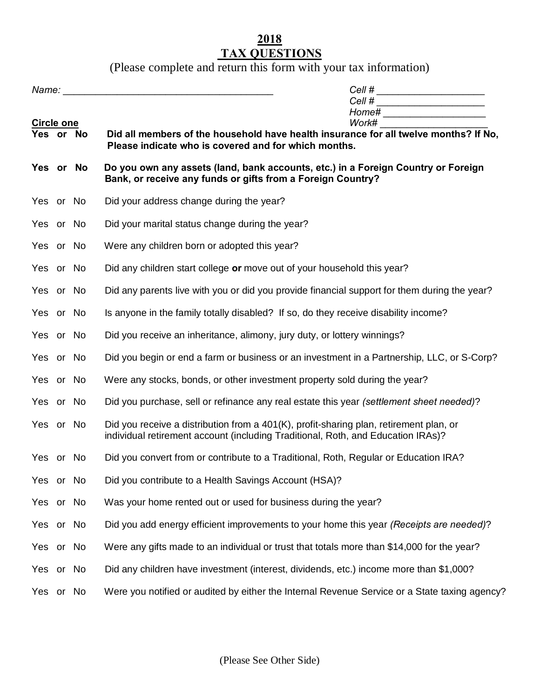## **2018 TAX QUESTIONS**

(Please complete and return this form with your tax information)

|                   |  |                                                                                                                                                                            | Cell # ________________________<br>Cell # ________________________ |  |  |
|-------------------|--|----------------------------------------------------------------------------------------------------------------------------------------------------------------------------|--------------------------------------------------------------------|--|--|
|                   |  | Home# ______________________                                                                                                                                               |                                                                    |  |  |
| <b>Circle one</b> |  | Work#                                                                                                                                                                      |                                                                    |  |  |
| Yes or No         |  | Did all members of the household have health insurance for all twelve months? If No.<br>Please indicate who is covered and for which months.                               |                                                                    |  |  |
| Yes or No         |  | Do you own any assets (land, bank accounts, etc.) in a Foreign Country or Foreign<br>Bank, or receive any funds or gifts from a Foreign Country?                           |                                                                    |  |  |
| Yes or No         |  | Did your address change during the year?                                                                                                                                   |                                                                    |  |  |
| Yes or No         |  | Did your marital status change during the year?                                                                                                                            |                                                                    |  |  |
| Yes or No         |  | Were any children born or adopted this year?                                                                                                                               |                                                                    |  |  |
| Yes or No         |  | Did any children start college or move out of your household this year?                                                                                                    |                                                                    |  |  |
| Yes or No         |  | Did any parents live with you or did you provide financial support for them during the year?                                                                               |                                                                    |  |  |
| Yes or No         |  | Is anyone in the family totally disabled? If so, do they receive disability income?                                                                                        |                                                                    |  |  |
| Yes or No         |  | Did you receive an inheritance, alimony, jury duty, or lottery winnings?                                                                                                   |                                                                    |  |  |
| Yes or No         |  | Did you begin or end a farm or business or an investment in a Partnership, LLC, or S-Corp?                                                                                 |                                                                    |  |  |
| Yes or No         |  | Were any stocks, bonds, or other investment property sold during the year?                                                                                                 |                                                                    |  |  |
| Yes or No         |  | Did you purchase, sell or refinance any real estate this year (settlement sheet needed)?                                                                                   |                                                                    |  |  |
| Yes or No         |  | Did you receive a distribution from a 401(K), profit-sharing plan, retirement plan, or<br>individual retirement account (including Traditional, Roth, and Education IRAs)? |                                                                    |  |  |
| Yes or No         |  | Did you convert from or contribute to a Traditional, Roth, Regular or Education IRA?                                                                                       |                                                                    |  |  |
| Yes or No         |  | Did you contribute to a Health Savings Account (HSA)?                                                                                                                      |                                                                    |  |  |
| Yes or No         |  | Was your home rented out or used for business during the year?                                                                                                             |                                                                    |  |  |
| Yes or No         |  | Did you add energy efficient improvements to your home this year (Receipts are needed)?                                                                                    |                                                                    |  |  |
| Yes or No         |  | Were any gifts made to an individual or trust that totals more than \$14,000 for the year?                                                                                 |                                                                    |  |  |
| Yes or No         |  | Did any children have investment (interest, dividends, etc.) income more than \$1,000?                                                                                     |                                                                    |  |  |
| Yes or No         |  | Were you notified or audited by either the Internal Revenue Service or a State taxing agency?                                                                              |                                                                    |  |  |